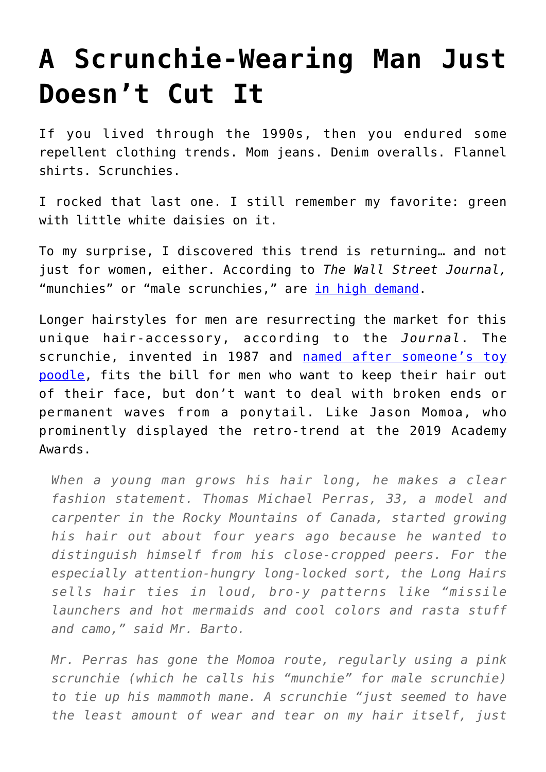## **[A Scrunchie-Wearing Man Just](https://intellectualtakeout.org/2019/04/a-scrunchie-wearing-man-just-doesnt-cut-it/) [Doesn't Cut It](https://intellectualtakeout.org/2019/04/a-scrunchie-wearing-man-just-doesnt-cut-it/)**

If you lived through the 1990s, then you endured some repellent clothing trends. Mom jeans. Denim overalls. Flannel shirts. Scrunchies.

I rocked that last one. I still remember my favorite: green with little white daisies on it.

To my surprise, I discovered this trend is returning… and not just for women, either. According to *The Wall Street Journal,* "munchies" or "male scrunchies," are [in high demand.](https://www.wsj.com/articles/do-real-men-wear-scrunchies-11554736991)

Longer hairstyles for men are resurrecting the market for this unique hair-accessory, according to the *Journal*. The scrunchie, invented in 1987 and [named after someone's toy](https://triviahappy.com/articles/the-inventor-of-the-scrunchie-had-a-second-idea-that-was-even-weirder) [poodle](https://triviahappy.com/articles/the-inventor-of-the-scrunchie-had-a-second-idea-that-was-even-weirder), fits the bill for men who want to keep their hair out of their face, but don't want to deal with broken ends or permanent waves from a ponytail. Like Jason Momoa, who prominently displayed the retro-trend at the 2019 Academy Awards.

*When a young man grows his hair long, he makes a clear fashion statement. Thomas Michael Perras, 33, a model and carpenter in the Rocky Mountains of Canada, started growing his hair out about four years ago because he wanted to distinguish himself from his close-cropped peers. For the especially attention-hungry long-locked sort, the Long Hairs sells hair ties in loud, bro-y patterns like "missile launchers and hot mermaids and cool colors and rasta stuff and camo," said Mr. Barto.*

*Mr. Perras has gone the Momoa route, regularly using a pink scrunchie (which he calls his "munchie" for male scrunchie) to tie up his mammoth mane. A scrunchie "just seemed to have the least amount of wear and tear on my hair itself, just*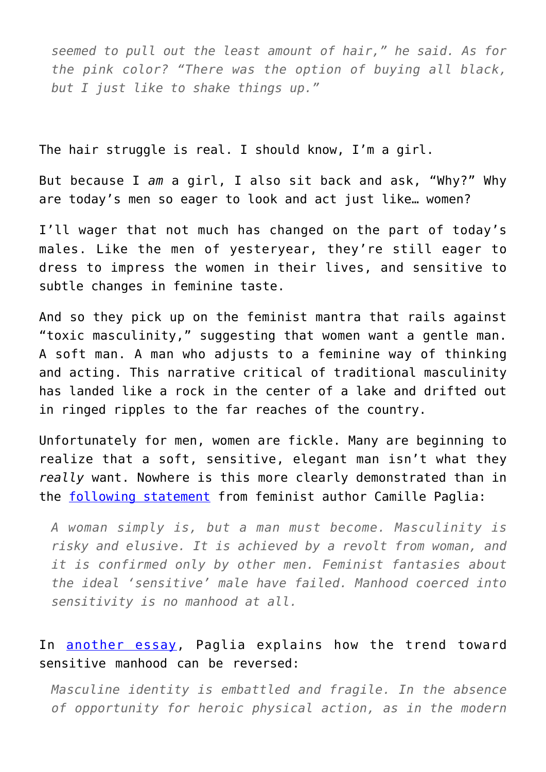*seemed to pull out the least amount of hair," he said. As for the pink color? "There was the option of buying all black, but I just like to shake things up."*

The hair struggle is real. I should know, I'm a girl.

But because I *am* a girl, I also sit back and ask, "Why?" Why are today's men so eager to look and act just like… women?

I'll wager that not much has changed on the part of today's males. Like the men of yesteryear, they're still eager to dress to impress the women in their lives, and sensitive to subtle changes in feminine taste.

And so they pick up on the feminist mantra that rails against "toxic masculinity," suggesting that women want a gentle man. A soft man. A man who adjusts to a feminine way of thinking and acting. This narrative critical of traditional masculinity has landed like a rock in the center of a lake and drifted out in ringed ripples to the far reaches of the country.

Unfortunately for men, women are fickle. Many are beginning to realize that a soft, sensitive, elegant man isn't what they *really* want. Nowhere is this more clearly demonstrated than in the [following statement](https://www.amazon.com/gp/product/0679741011/ref=as_li_qf_asin_il_tl?ie=UTF8&tag=intelltakeo0d-20&creative=9325&linkCode=as2&creativeASIN=0679741011&linkId=d2df86021d78ccd4994dce6627c7d0b4) from feminist author Camille Paglia:

*A woman simply is, but a man must become. Masculinity is risky and elusive. It is achieved by a revolt from woman, and it is confirmed only by other men. Feminist fantasies about the ideal 'sensitive' male have failed. Manhood coerced into sensitivity is no manhood at all.*

## In [another essay](https://www.amazon.com/gp/product/0679751203/ref=as_li_qf_asin_il_tl?ie=UTF8&tag=intelltakeo0d-20&creative=9325&linkCode=as2&creativeASIN=0679751203&linkId=8678205f17a6d819bf69782753834ff6), Paglia explains how the trend toward sensitive manhood can be reversed:

*Masculine identity is embattled and fragile. In the absence of opportunity for heroic physical action, as in the modern*